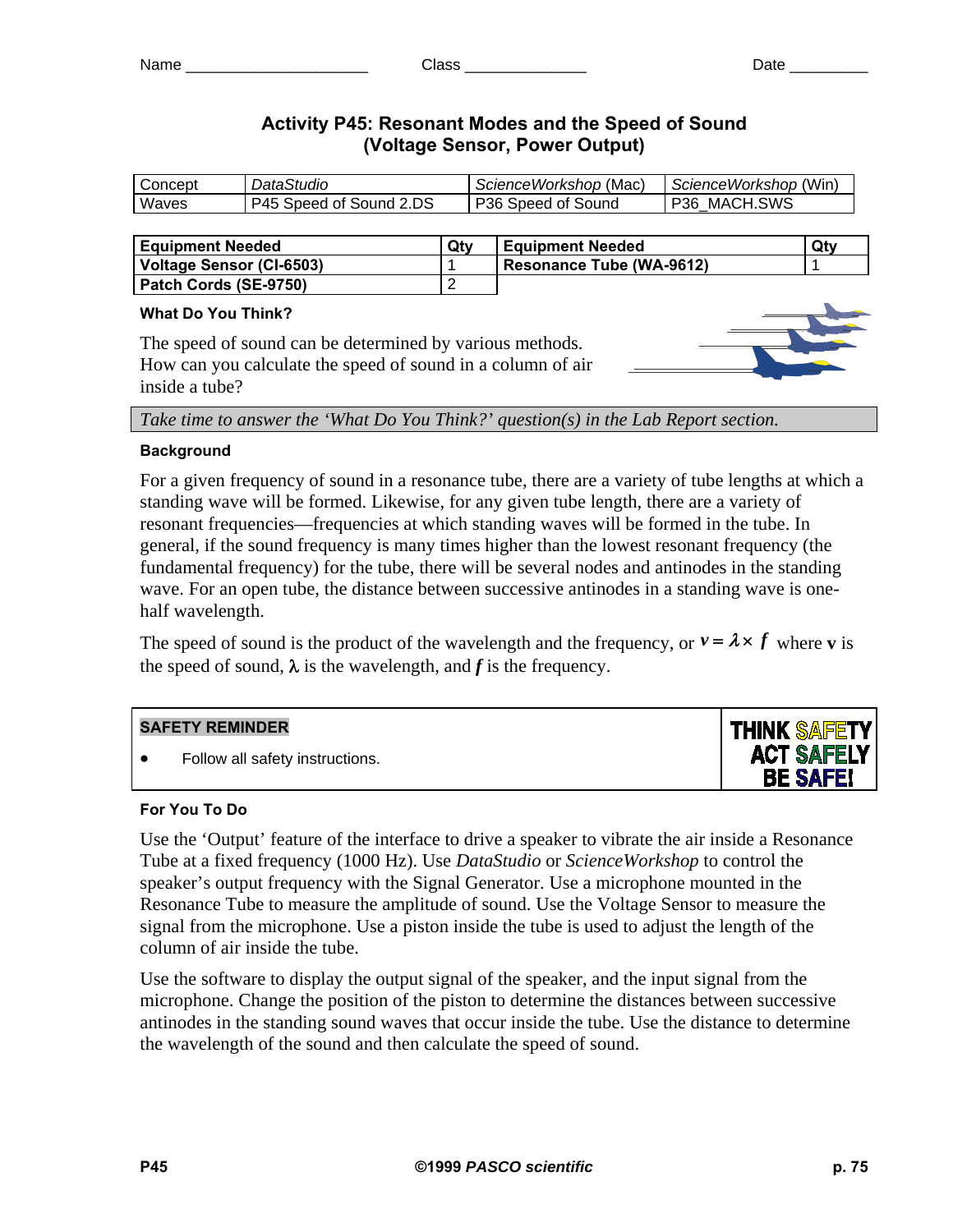# **Activity P45: Resonant Modes and the Speed of Sound (Voltage Sensor, Power Output)**

| Concept | DataStudio              | ScienceWorkshop (Mac) | ScienceWorkshop (Win) |
|---------|-------------------------|-----------------------|-----------------------|
| Waves   | P45 Speed of Sound 2.DS | P36 Speed of Sound    | P36 MACH.SWS          |
|         |                         |                       |                       |

| <b>Equipment Needed</b>  | Qtv | <b>Equipment Needed</b>  | Qty |
|--------------------------|-----|--------------------------|-----|
| Voltage Sensor (CI-6503) |     | Resonance Tube (WA-9612) |     |
| Patch Cords (SE-9750)    | -   |                          |     |

## **What Do You Think?**

The speed of sound can be determined by various methods. How can you calculate the speed of sound in a column of air inside a tube?

*Take time to answer the 'What Do You Think?' question(s) in the Lab Report section.* 

# **Background**

For a given frequency of sound in a resonance tube, there are a variety of tube lengths at which a standing wave will be formed. Likewise, for any given tube length, there are a variety of resonant frequencies—frequencies at which standing waves will be formed in the tube. In general, if the sound frequency is many times higher than the lowest resonant frequency (the fundamental frequency) for the tube, there will be several nodes and antinodes in the standing wave. For an open tube, the distance between successive antinodes in a standing wave is onehalf wavelength.

The speed of sound is the product of the wavelength and the frequency, or  $v = \lambda \times f$  where **v** is the speed of sound,  $\lambda$  is the wavelength, and *f* is the frequency.

# **SAFETY REMINDER**

• Follow all safety instructions.



Use the 'Output' feature of the interface to drive a speaker to vibrate the air inside a Resonance Tube at a fixed frequency (1000 Hz). Use *DataStudio* or *ScienceWorkshop* to control the speaker's output frequency with the Signal Generator. Use a microphone mounted in the Resonance Tube to measure the amplitude of sound. Use the Voltage Sensor to measure the signal from the microphone. Use a piston inside the tube is used to adjust the length of the column of air inside the tube.

Use the software to display the output signal of the speaker, and the input signal from the microphone. Change the position of the piston to determine the distances between successive antinodes in the standing sound waves that occur inside the tube. Use the distance to determine the wavelength of the sound and then calculate the speed of sound.

**THINK SAFETY ACT SAFELY BE SAFE!**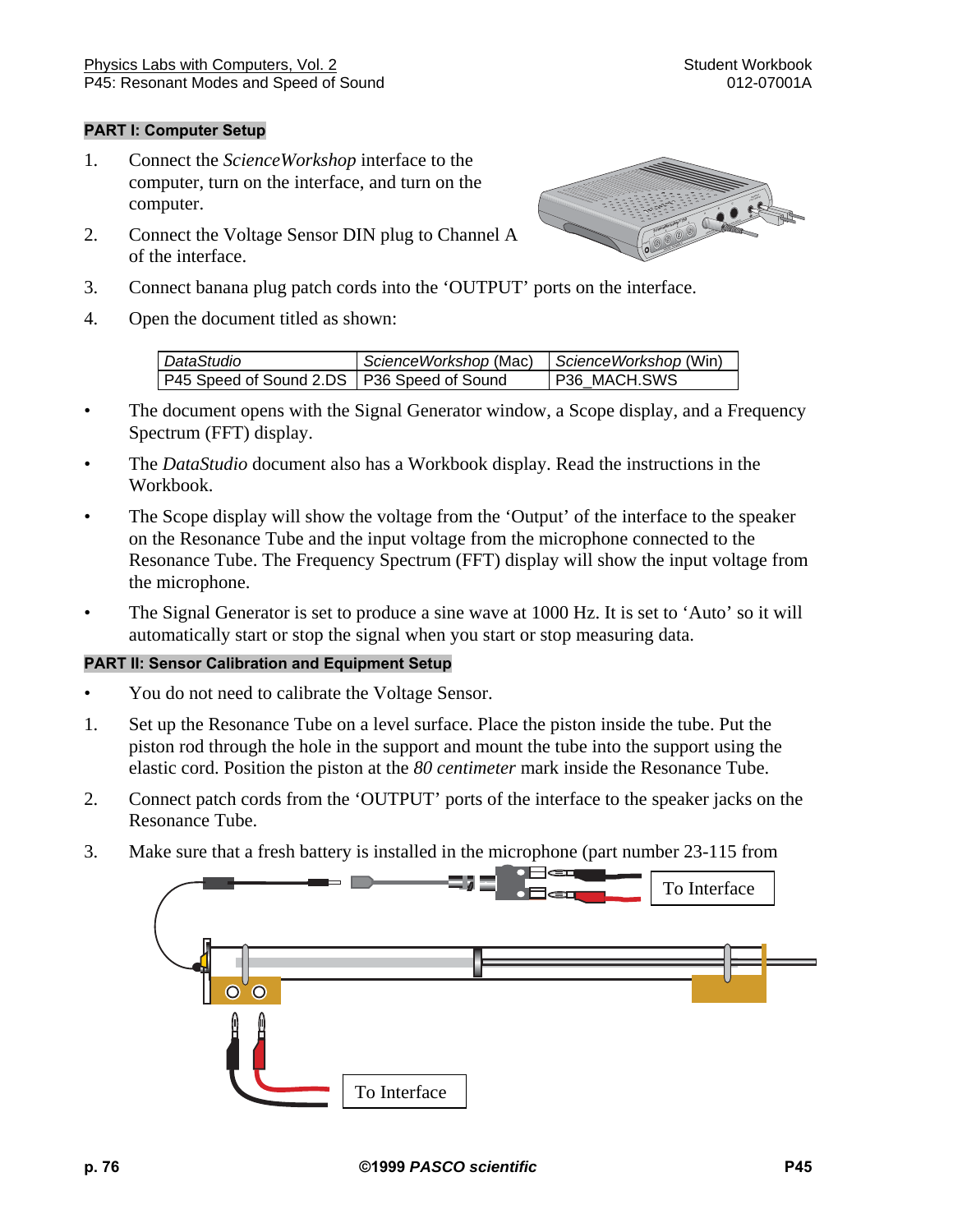## **PART I: Computer Setup**

- 1. Connect the *ScienceWorkshop* interface to the computer, turn on the interface, and turn on the computer.
- 2. Connect the Voltage Sensor DIN plug to Channel A of the interface.



- 3. Connect banana plug patch cords into the 'OUTPUT' ports on the interface.
- 4. Open the document titled as shown:

| DataStudio                                   | ScienceWorkshop (Mac) | ScienceWorkshop (Win) |
|----------------------------------------------|-----------------------|-----------------------|
| P45 Speed of Sound 2.DS   P36 Speed of Sound |                       | P36 MACH.SWS          |

- The document opens with the Signal Generator window, a Scope display, and a Frequency Spectrum (FFT) display.
- The *DataStudio* document also has a Workbook display. Read the instructions in the Workbook.
- The Scope display will show the voltage from the 'Output' of the interface to the speaker on the Resonance Tube and the input voltage from the microphone connected to the Resonance Tube. The Frequency Spectrum (FFT) display will show the input voltage from the microphone.
- The Signal Generator is set to produce a sine wave at 1000 Hz. It is set to 'Auto' so it will automatically start or stop the signal when you start or stop measuring data.

### **PART II: Sensor Calibration and Equipment Setup**

- You do not need to calibrate the Voltage Sensor.
- 1. Set up the Resonance Tube on a level surface. Place the piston inside the tube. Put the piston rod through the hole in the support and mount the tube into the support using the elastic cord. Position the piston at the *80 centimeter* mark inside the Resonance Tube.
- 2. Connect patch cords from the 'OUTPUT' ports of the interface to the speaker jacks on the Resonance Tube.
- 3. Make sure that a fresh battery is installed in the microphone (part number 23-115 from

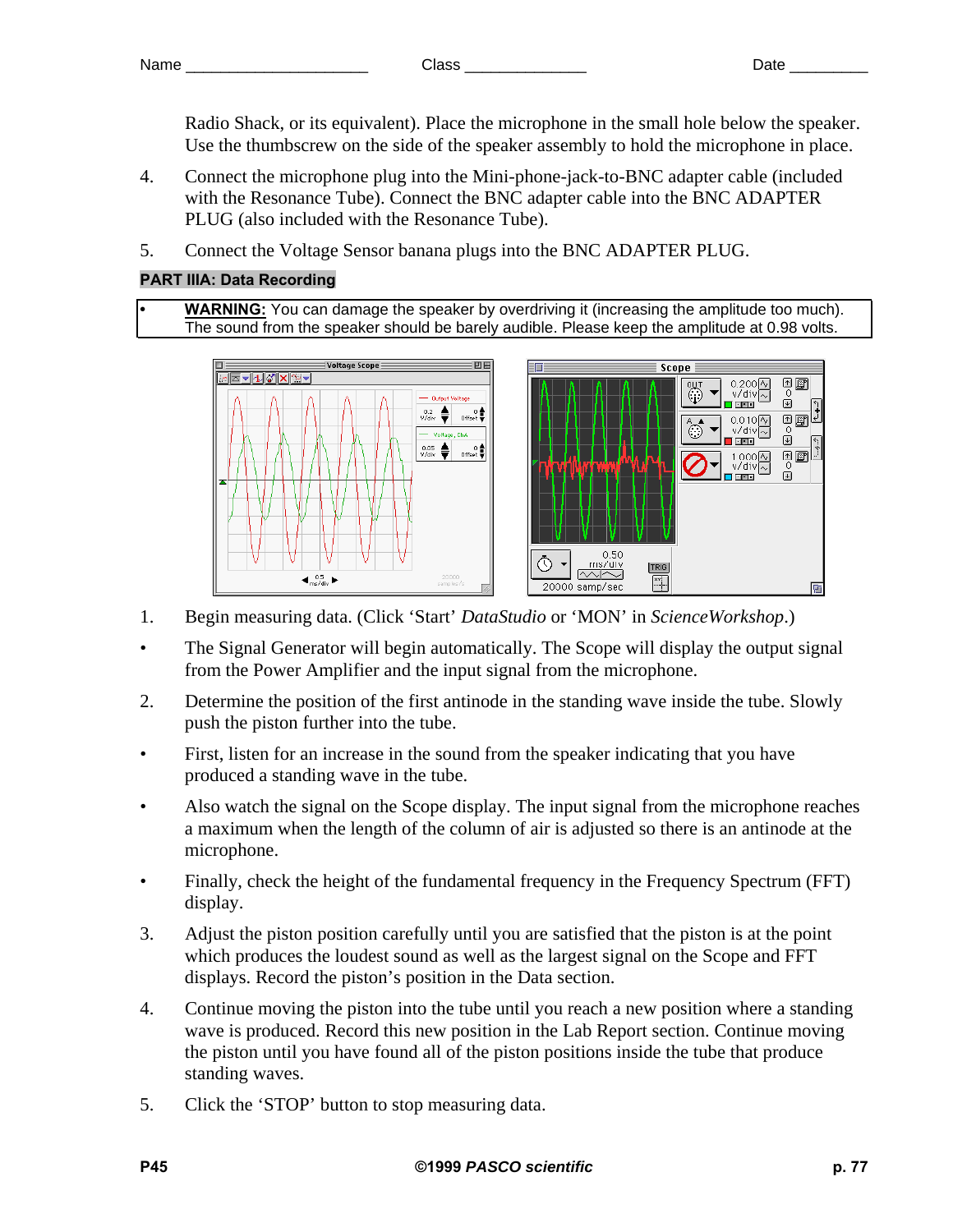Radio Shack, or its equivalent). Place the microphone in the small hole below the speaker. Use the thumbscrew on the side of the speaker assembly to hold the microphone in place.

- 4. Connect the microphone plug into the Mini-phone-jack-to-BNC adapter cable (included with the Resonance Tube). Connect the BNC adapter cable into the BNC ADAPTER PLUG (also included with the Resonance Tube).
- 5. Connect the Voltage Sensor banana plugs into the BNC ADAPTER PLUG.

## **PART IIIA: Data Recording**

**• WARNING:** You can damage the speaker by overdriving it (increasing the amplitude too much). The sound from the speaker should be barely audible. Please keep the amplitude at 0.98 volts.



- 1. Begin measuring data. (Click 'Start' *DataStudio* or 'MON' in *ScienceWorkshop*.)
- The Signal Generator will begin automatically. The Scope will display the output signal from the Power Amplifier and the input signal from the microphone.
- 2. Determine the position of the first antinode in the standing wave inside the tube. Slowly push the piston further into the tube.
- First, listen for an increase in the sound from the speaker indicating that you have produced a standing wave in the tube.
- Also watch the signal on the Scope display. The input signal from the microphone reaches a maximum when the length of the column of air is adjusted so there is an antinode at the microphone.
- Finally, check the height of the fundamental frequency in the Frequency Spectrum (FFT) display.
- 3. Adjust the piston position carefully until you are satisfied that the piston is at the point which produces the loudest sound as well as the largest signal on the Scope and FFT displays. Record the piston's position in the Data section.
- 4. Continue moving the piston into the tube until you reach a new position where a standing wave is produced. Record this new position in the Lab Report section. Continue moving the piston until you have found all of the piston positions inside the tube that produce standing waves.
- 5. Click the 'STOP' button to stop measuring data.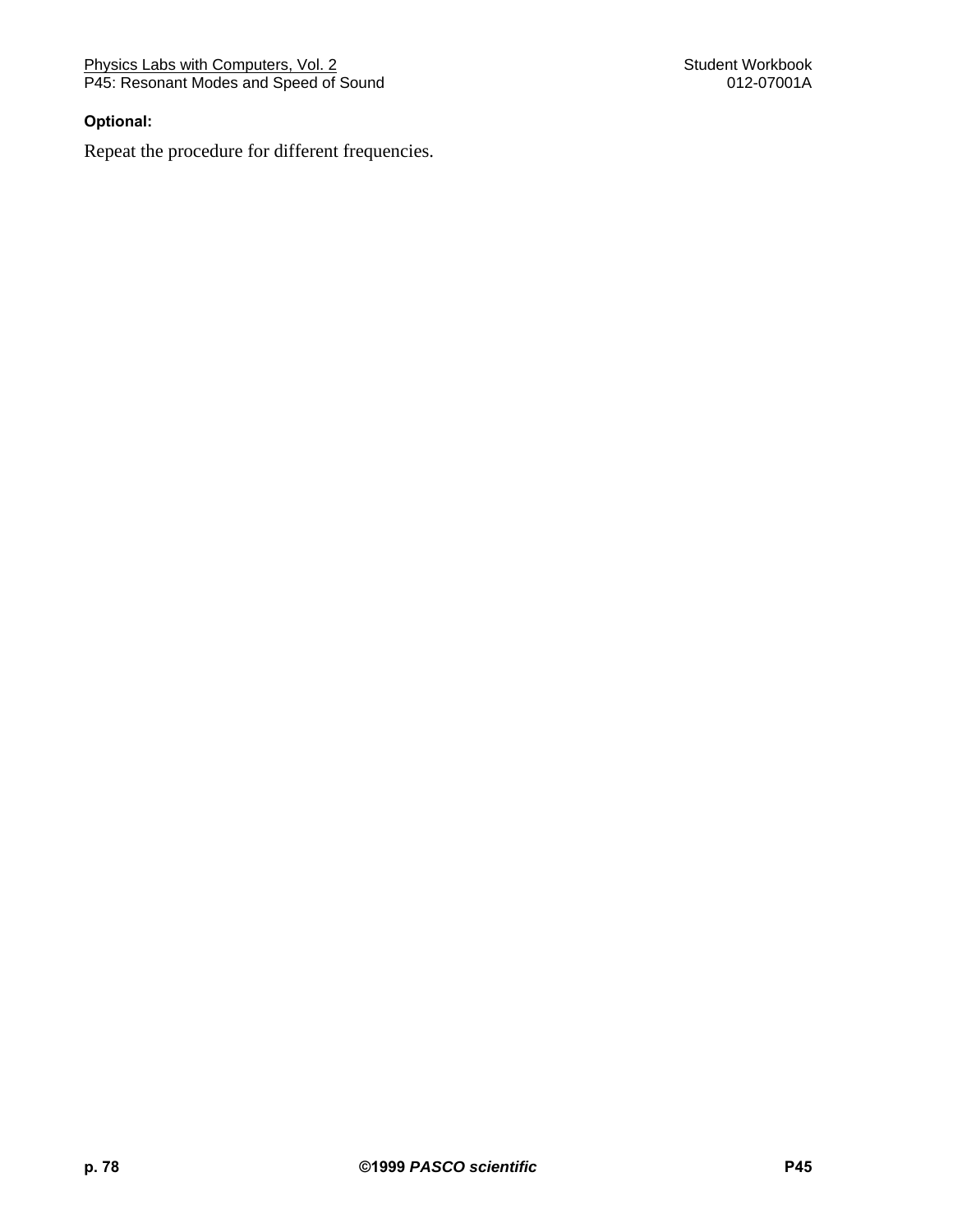Physics Labs with Computers, Vol. 2 Student Workbook Student Workbook P45: Resonant Modes and Speed of Sound 012-07001A

## **Optional:**

Repeat the procedure for different frequencies.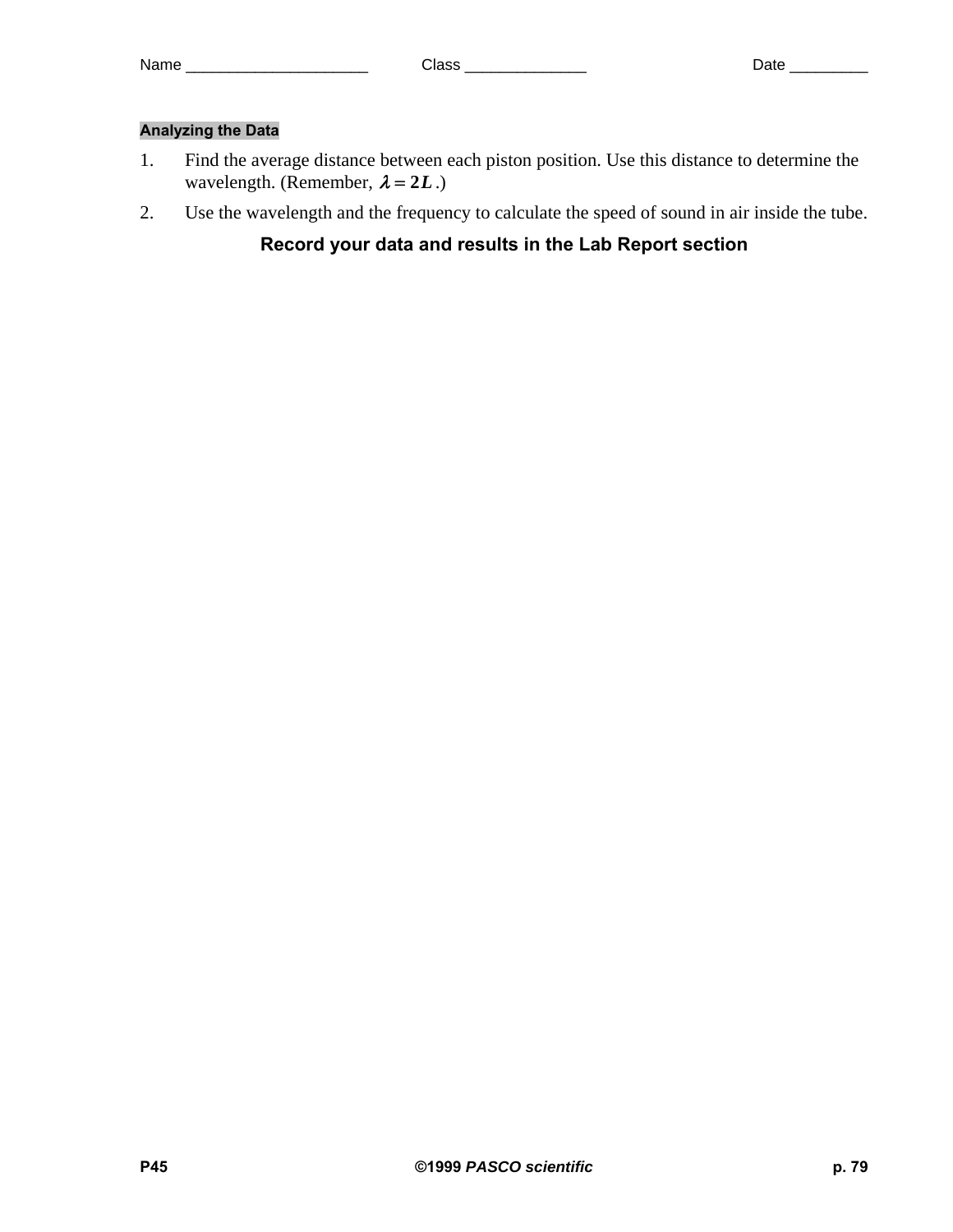## **Analyzing the Data**

- 1. Find the average distance between each piston position. Use this distance to determine the wavelength. (Remember,  $\lambda = 2L$ .)
- 2. Use the wavelength and the frequency to calculate the speed of sound in air inside the tube.

# **Record your data and results in the Lab Report section**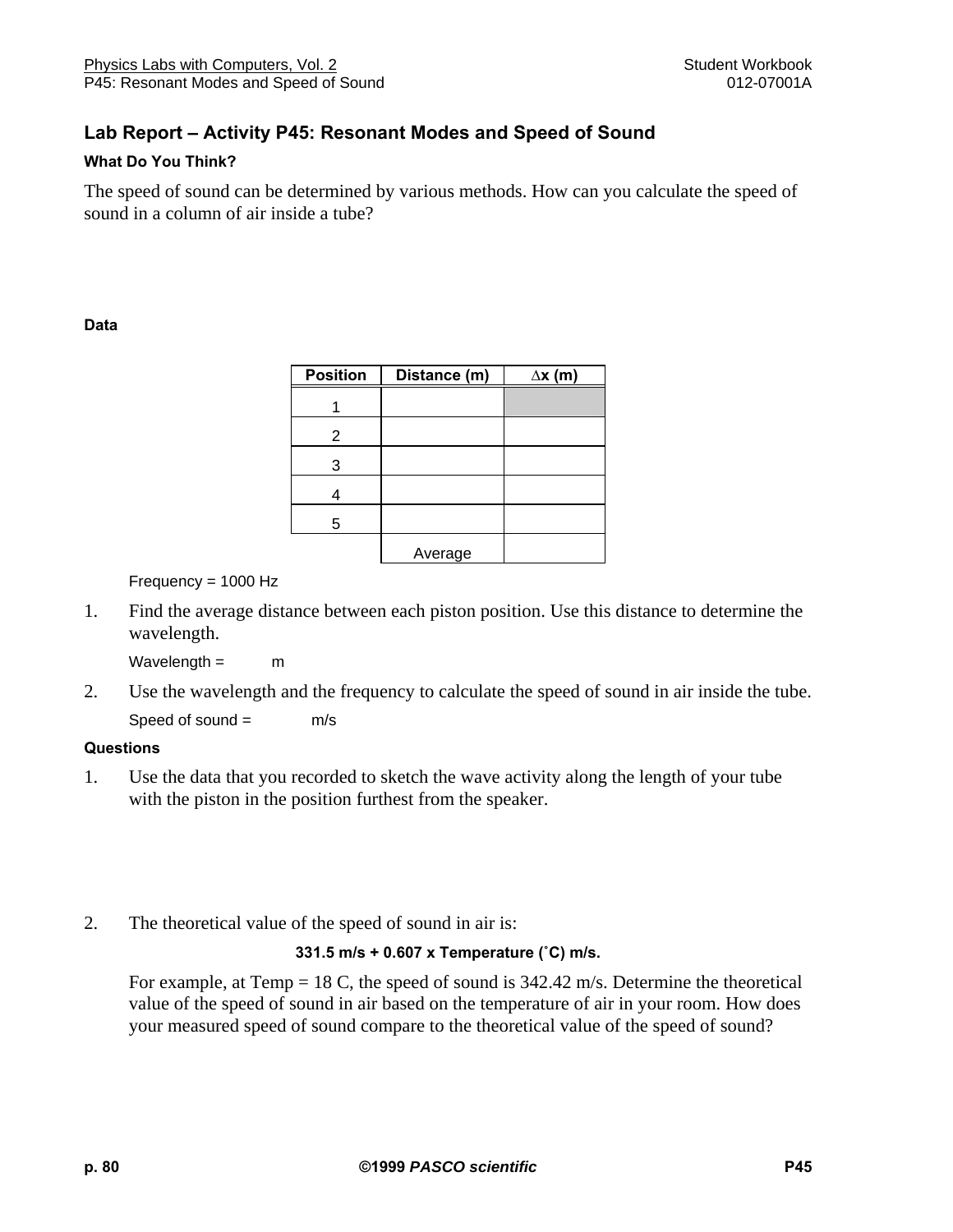# **Lab Report – Activity P45: Resonant Modes and Speed of Sound**

## **What Do You Think?**

The speed of sound can be determined by various methods. How can you calculate the speed of sound in a column of air inside a tube?

### **Data**

| <b>Position</b> | Distance (m) | $\Delta x$ (m) |
|-----------------|--------------|----------------|
|                 |              |                |
| 2               |              |                |
| 3               |              |                |
|                 |              |                |
| 5               |              |                |
|                 | Average      |                |

Frequency = 1000 Hz

1. Find the average distance between each piston position. Use this distance to determine the wavelength.

 $Wavelength = m$ 

2. Use the wavelength and the frequency to calculate the speed of sound in air inside the tube.

Speed of sound = m/s

## **Questions**

- 1. Use the data that you recorded to sketch the wave activity along the length of your tube with the piston in the position furthest from the speaker.
- 2. The theoretical value of the speed of sound in air is:

### **331.5 m/s + 0.607 x Temperature (˚C) m/s.**

 For example, at Temp = 18 C, the speed of sound is 342.42 m/s. Determine the theoretical value of the speed of sound in air based on the temperature of air in your room. How does your measured speed of sound compare to the theoretical value of the speed of sound?